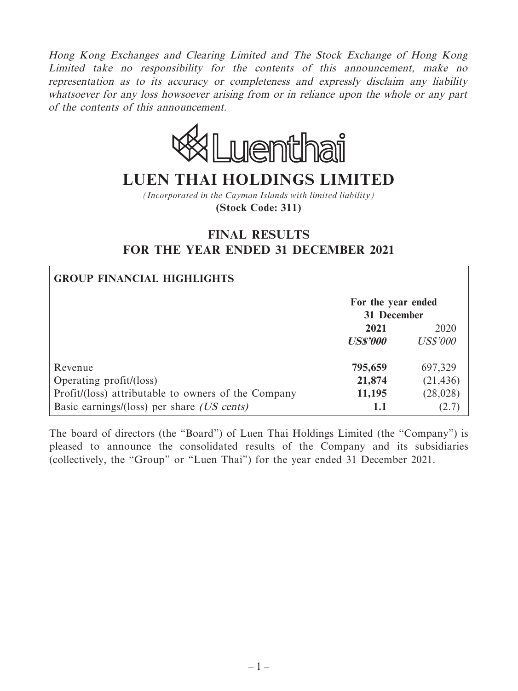Hong Kong Exchanges and Clearing Limited and The Stock Exchange of Hong Kong Limited take no responsibility for the contents of this announcement, make no representation as to its accuracy or completeness and expressly disclaim any liability whatsoever for any loss howsoever arising from or in reliance upon the whole or any part of the contents of this announcement.



# **LUEN THAI HOLDINGS LIMITED**

*(Incorporated in the Cayman Islands with limited liability)* **(Stock Code: 311)**

# **FINAL RESULTS FOR THE YEAR ENDED 31 DECEMBER 2021**

| <b>GROUP FINANCIAL HIGHLIGHTS</b>                   |                                   |                 |
|-----------------------------------------------------|-----------------------------------|-----------------|
|                                                     | For the year ended<br>31 December |                 |
|                                                     | 2021                              | 2020            |
|                                                     | <b>US\$'000</b>                   | <b>US\$'000</b> |
| Revenue                                             | 795,659                           | 697,329         |
| Operating profit/(loss)                             | 21,874                            | (21, 436)       |
| Profit/(loss) attributable to owners of the Company | 11,195                            | (28, 028)       |
| Basic earnings/(loss) per share <i>(US cents)</i>   | 1.1                               | 2.7             |

The board of directors (the "Board") of Luen Thai Holdings Limited (the "Company") is pleased to announce the consolidated results of the Company and its subsidiaries (collectively, the "Group" or "Luen Thai") for the year ended 31 December 2021.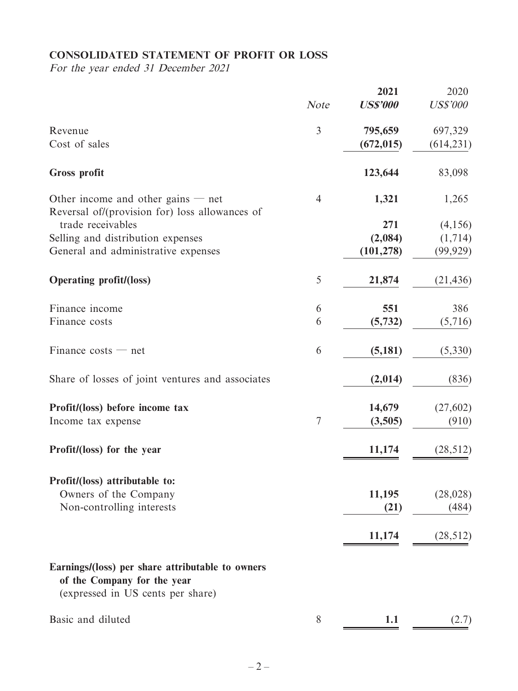# **CONSOLIDATED STATEMENT OF PROFIT OR LOSS**

For the year ended 31 December 2021

|                                                                                                                      | <b>Note</b>      | 2021<br><b>US\$'000</b> | 2020<br><b>US\$'000</b> |
|----------------------------------------------------------------------------------------------------------------------|------------------|-------------------------|-------------------------|
|                                                                                                                      |                  |                         |                         |
| Revenue                                                                                                              | 3                | 795,659                 | 697,329                 |
| Cost of sales                                                                                                        |                  | (672, 015)              | (614, 231)              |
| <b>Gross profit</b>                                                                                                  |                  | 123,644                 | 83,098                  |
| Other income and other gains $-$ net<br>Reversal of/(provision for) loss allowances of                               | $\overline{4}$   | 1,321                   | 1,265                   |
| trade receivables                                                                                                    |                  | 271                     | (4,156)                 |
| Selling and distribution expenses                                                                                    |                  | (2,084)                 | (1,714)                 |
| General and administrative expenses                                                                                  |                  | (101, 278)              | (99, 929)               |
| <b>Operating profit/(loss)</b>                                                                                       | 5                | 21,874                  | (21, 436)               |
| Finance income                                                                                                       | 6                | 551                     | 386                     |
| Finance costs                                                                                                        | 6                | (5, 732)                | (5,716)                 |
|                                                                                                                      |                  |                         |                         |
| Finance $costs$ — net                                                                                                | 6                | (5,181)                 | (5,330)                 |
| Share of losses of joint ventures and associates                                                                     |                  | (2,014)                 | (836)                   |
| Profit/(loss) before income tax                                                                                      |                  | 14,679                  | (27, 602)               |
| Income tax expense                                                                                                   | $\boldsymbol{7}$ | (3,505)                 | (910)                   |
| Profit/(loss) for the year                                                                                           |                  | 11,174                  | (28, 512)               |
| Profit/(loss) attributable to:                                                                                       |                  |                         |                         |
| Owners of the Company                                                                                                |                  | 11,195                  | (28, 028)               |
| Non-controlling interests                                                                                            |                  | (21)                    | (484)                   |
|                                                                                                                      |                  |                         |                         |
|                                                                                                                      |                  | 11,174                  | (28, 512)               |
| Earnings/(loss) per share attributable to owners<br>of the Company for the year<br>(expressed in US cents per share) |                  |                         |                         |
| Basic and diluted                                                                                                    | 8                | 1.1                     | (2.7)                   |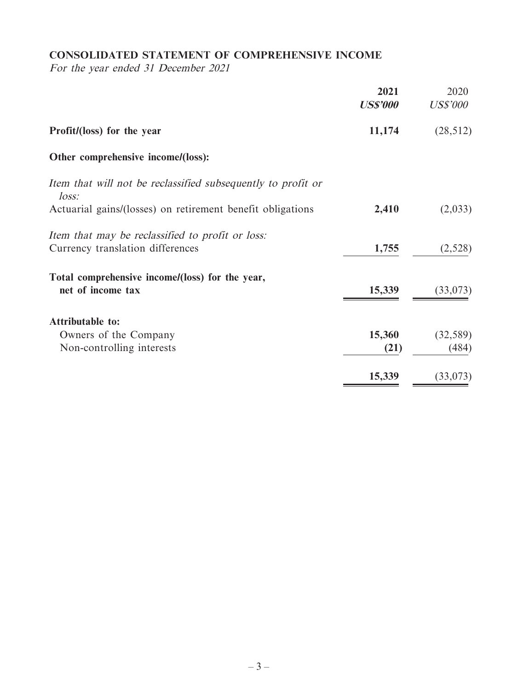# **CONSOLIDATED STATEMENT OF COMPREHENSIVE INCOME**

For the year ended 31 December 2021

|                                                                                      | 2021<br><b>US\$'000</b> | 2020<br><b>US\$'000</b> |
|--------------------------------------------------------------------------------------|-------------------------|-------------------------|
| Profit/(loss) for the year                                                           | 11,174                  | (28, 512)               |
| Other comprehensive income/(loss):                                                   |                         |                         |
| Item that will not be reclassified subsequently to profit or<br>loss:                |                         |                         |
| Actuarial gains/(losses) on retirement benefit obligations                           | 2,410                   | (2,033)                 |
| Item that may be reclassified to profit or loss:<br>Currency translation differences | 1,755                   | (2,528)                 |
| Total comprehensive income/(loss) for the year,<br>net of income tax                 | 15,339                  | (33,073)                |
| <b>Attributable to:</b>                                                              |                         |                         |
| Owners of the Company                                                                | 15,360                  | (32, 589)               |
| Non-controlling interests                                                            | (21)                    | (484)                   |
|                                                                                      | 15,339                  | (33,073)                |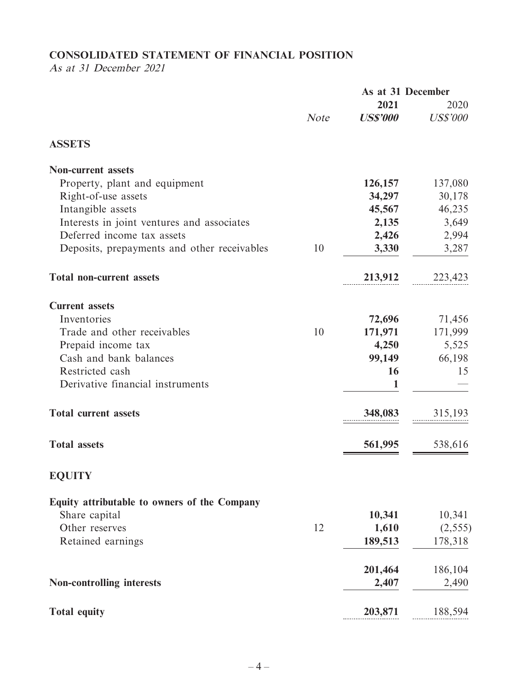# **CONSOLIDATED STATEMENT OF FINANCIAL POSITION**

As at 31 December 2021

|                                              |             | As at 31 December |                 |
|----------------------------------------------|-------------|-------------------|-----------------|
|                                              |             | 2021              | 2020            |
|                                              | <b>Note</b> | <b>US\$'000</b>   | <b>US\$'000</b> |
| <b>ASSETS</b>                                |             |                   |                 |
| <b>Non-current assets</b>                    |             |                   |                 |
| Property, plant and equipment                |             | 126,157           | 137,080         |
| Right-of-use assets                          |             | 34,297            | 30,178          |
| Intangible assets                            |             | 45,567            | 46,235          |
| Interests in joint ventures and associates   |             | 2,135             | 3,649           |
| Deferred income tax assets                   |             | 2,426             | 2,994           |
| Deposits, prepayments and other receivables  | 10          | 3,330             | 3,287           |
| <b>Total non-current assets</b>              |             | 213,912           | 223,423         |
| <b>Current assets</b>                        |             |                   |                 |
| Inventories                                  |             | 72,696            | 71,456          |
| Trade and other receivables                  | 10          | 171,971           | 171,999         |
| Prepaid income tax                           |             | 4,250             | 5,525           |
| Cash and bank balances                       |             | 99,149            | 66,198          |
| Restricted cash                              |             | 16                | 15              |
| Derivative financial instruments             |             | 1                 |                 |
| <b>Total current assets</b>                  |             | 348,083           | 315,193         |
| <b>Total assets</b>                          |             | 561,995           | 538,616         |
| <b>EQUITY</b>                                |             |                   |                 |
| Equity attributable to owners of the Company |             |                   |                 |
| Share capital                                |             | 10,341            | 10,341          |
| Other reserves                               | 12          | 1,610             | (2, 555)        |
| Retained earnings                            |             | 189,513           | 178,318         |
|                                              |             | 201,464           | 186,104         |
| <b>Non-controlling interests</b>             |             | 2,407             | 2,490           |
| <b>Total equity</b>                          |             | 203,871           | 188,594         |
|                                              |             |                   |                 |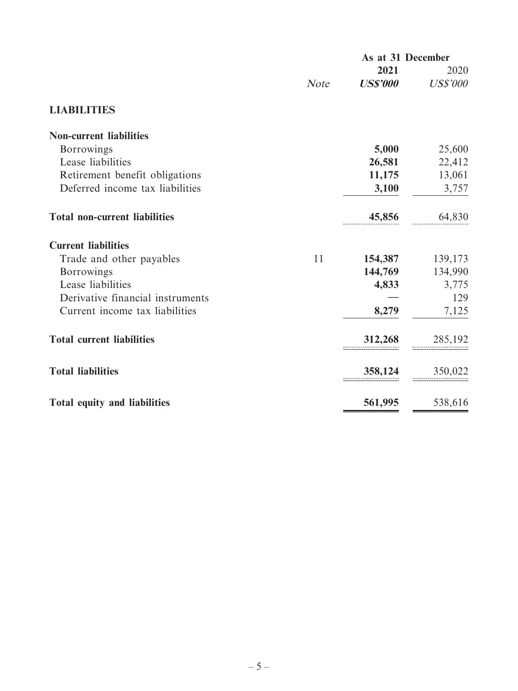|                                      | As at 31 December |                        |                 |  |
|--------------------------------------|-------------------|------------------------|-----------------|--|
|                                      |                   | 2021                   | 2020            |  |
|                                      | <b>Note</b>       | <i><b>US\$'000</b></i> | <b>US\$'000</b> |  |
| <b>LIABILITIES</b>                   |                   |                        |                 |  |
| <b>Non-current liabilities</b>       |                   |                        |                 |  |
| <b>Borrowings</b>                    |                   | 5,000                  | 25,600          |  |
| Lease liabilities                    |                   | 26,581                 | 22,412          |  |
| Retirement benefit obligations       |                   | 11,175                 | 13,061          |  |
| Deferred income tax liabilities      |                   | 3,100                  | 3,757           |  |
| <b>Total non-current liabilities</b> |                   | 45,856                 | 64,830          |  |
| <b>Current liabilities</b>           |                   |                        |                 |  |
| Trade and other payables             | 11                | 154,387                | 139,173         |  |
| <b>Borrowings</b>                    |                   | 144,769                | 134,990         |  |
| Lease liabilities                    |                   | 4,833                  | 3,775           |  |
| Derivative financial instruments     |                   |                        | 129             |  |
| Current income tax liabilities       |                   | 8,279                  | 7,125           |  |
| <b>Total current liabilities</b>     |                   | 312,268                | 285,192         |  |
| <b>Total liabilities</b>             |                   | 358,124                | 350,022         |  |
| Total equity and liabilities         |                   | 561,995                | 538,616         |  |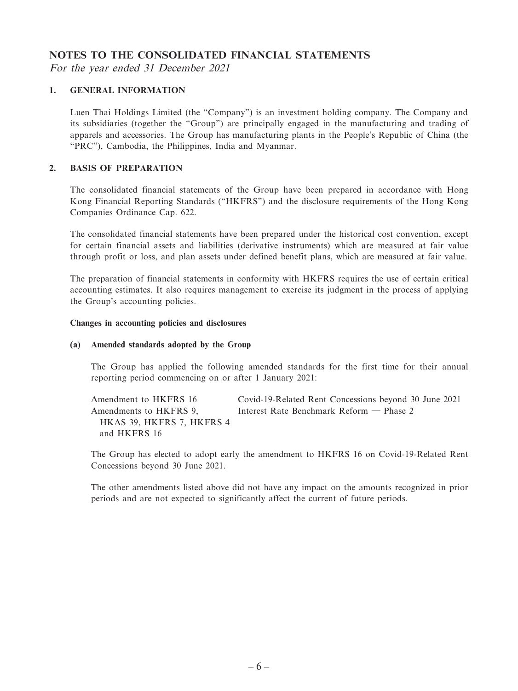### **NOTES TO THE CONSOLIDATED FINANCIAL STATEMENTS**

For the year ended 31 December 2021

#### **1. GENERAL INFORMATION**

Luen Thai Holdings Limited (the "Company") is an investment holding company. The Company and its subsidiaries (together the "Group") are principally engaged in the manufacturing and trading of apparels and accessories. The Group has manufacturing plants in the People's Republic of China (the "PRC"), Cambodia, the Philippines, India and Myanmar.

#### **2. BASIS OF PREPARATION**

The consolidated financial statements of the Group have been prepared in accordance with Hong Kong Financial Reporting Standards ("HKFRS") and the disclosure requirements of the Hong Kong Companies Ordinance Cap. 622.

The consolidated financial statements have been prepared under the historical cost convention, except for certain financial assets and liabilities (derivative instruments) which are measured at fair value through profit or loss, and plan assets under defined benefit plans, which are measured at fair value.

The preparation of financial statements in conformity with HKFRS requires the use of certain critical accounting estimates. It also requires management to exercise its judgment in the process of applying the Group's accounting policies.

#### **Changes in accounting policies and disclosures**

#### **(a) Amended standards adopted by the Group**

The Group has applied the following amended standards for the first time for their annual reporting period commencing on or after 1 January 2021:

Amendment to HKFRS 16 Covid-19-Related Rent Concessions beyond 30 June 2021 Amendments to HKFRS 9, HKAS 39, HKFRS 7, HKFRS 4 and HKFRS 16 Interest Rate Benchmark Reform — Phase 2

The Group has elected to adopt early the amendment to HKFRS 16 on Covid-19-Related Rent Concessions beyond 30 June 2021.

The other amendments listed above did not have any impact on the amounts recognized in prior periods and are not expected to significantly affect the current of future periods.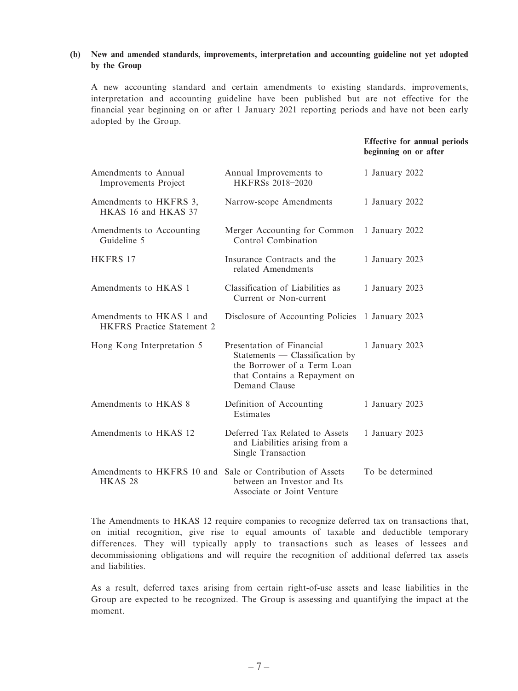#### **(b) New and amended standards, improvements, interpretation and accounting guideline not yet adopted by the Group**

A new accounting standard and certain amendments to existing standards, improvements, interpretation and accounting guideline have been published but are not effective for the financial year beginning on or after 1 January 2021 reporting periods and have not been early adopted by the Group.

#### **Effective for annual periods beginning on or after**

| Amendments to Annual<br>Improvements Project                  | Annual Improvements to<br>HKFRSs 2018-2020                                                                                                    | 1 January 2022   |
|---------------------------------------------------------------|-----------------------------------------------------------------------------------------------------------------------------------------------|------------------|
| Amendments to HKFRS 3,<br>HKAS 16 and HKAS 37                 | Narrow-scope Amendments                                                                                                                       | 1 January 2022   |
| Amendments to Accounting<br>Guideline 5                       | Merger Accounting for Common<br>Control Combination                                                                                           | 1 January 2022   |
| <b>HKFRS 17</b>                                               | Insurance Contracts and the<br>related Amendments                                                                                             | 1 January 2023   |
| Amendments to HKAS 1                                          | Classification of Liabilities as<br>Current or Non-current                                                                                    | 1 January 2023   |
| Amendments to HKAS 1 and<br><b>HKFRS</b> Practice Statement 2 | Disclosure of Accounting Policies 1 January 2023                                                                                              |                  |
| Hong Kong Interpretation 5                                    | Presentation of Financial<br>$Statements$ - Classification by<br>the Borrower of a Term Loan<br>that Contains a Repayment on<br>Demand Clause | 1 January 2023   |
| Amendments to HKAS 8                                          | Definition of Accounting<br>Estimates                                                                                                         | 1 January 2023   |
| Amendments to HKAS 12                                         | Deferred Tax Related to Assets<br>and Liabilities arising from a<br>Single Transaction                                                        | 1 January 2023   |
| Amendments to HKFRS 10 and<br>HKAS <sub>28</sub>              | Sale or Contribution of Assets<br>between an Investor and Its<br>Associate or Joint Venture                                                   | To be determined |

The Amendments to HKAS 12 require companies to recognize deferred tax on transactions that, on initial recognition, give rise to equal amounts of taxable and deductible temporary differences. They will typically apply to transactions such as leases of lessees and decommissioning obligations and will require the recognition of additional deferred tax assets and liabilities.

As a result, deferred taxes arising from certain right-of-use assets and lease liabilities in the Group are expected to be recognized. The Group is assessing and quantifying the impact at the moment.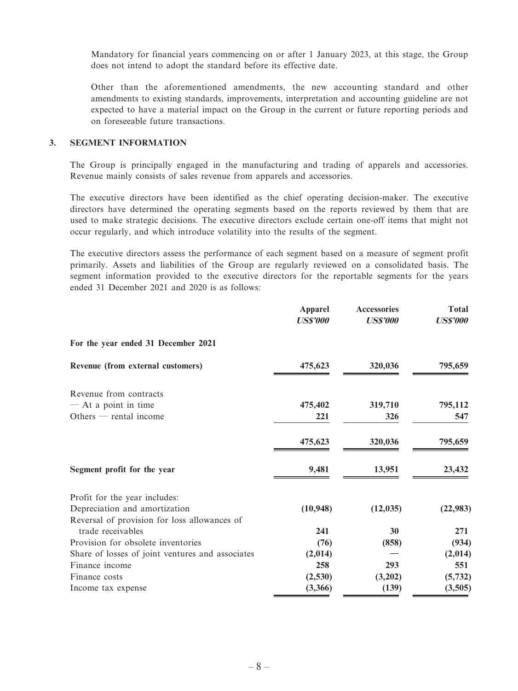Mandatory for financial years commencing on or after 1 January 2023, at this stage, the Group does not intend to adopt the standard before its effective date.

Other than the aforementioned amendments, the new accounting standard and other amendments to existing standards, improvements, interpretation and accounting guideline are not expected to have a material impact on the Group in the current or future reporting periods and on foreseeable future transactions.

#### **3. SEGMENT INFORMATION**

The Group is principally engaged in the manufacturing and trading of apparels and accessories. Revenue mainly consists of sales revenue from apparels and accessories.

The executive directors have been identified as the chief operating decision-maker. The executive directors have determined the operating segments based on the reports reviewed by them that are used to make strategic decisions. The executive directors exclude certain one-off items that might not occur regularly, and which introduce volatility into the results of the segment.

The executive directors assess the performance of each segment based on a measure of segment profit primarily. Assets and liabilities of the Group are regularly reviewed on a consolidated basis. The segment information provided to the executive directors for the reportable segments for the years ended 31 December 2021 and 2020 is as follows:

|                                                  | <b>Apparel</b><br><b>US\$'000</b> | <b>Accessories</b><br><b>US\$'000</b> | <b>Total</b><br><b>US\$'000</b> |
|--------------------------------------------------|-----------------------------------|---------------------------------------|---------------------------------|
| For the year ended 31 December 2021              |                                   |                                       |                                 |
| Revenue (from external customers)                | 475,623                           | 320,036                               | 795,659                         |
| Revenue from contracts                           |                                   |                                       |                                 |
| - At a point in time                             | 475,402                           | 319,710                               | 795,112                         |
| Others $-$ rental income                         | 221                               | 326                                   | 547                             |
|                                                  | 475,623                           | 320,036                               | 795,659                         |
| Segment profit for the year                      | 9,481                             | 13,951                                | 23,432                          |
| Profit for the year includes:                    |                                   |                                       |                                 |
| Depreciation and amortization                    | (10, 948)                         | (12, 035)                             | (22, 983)                       |
| Reversal of provision for loss allowances of     |                                   |                                       |                                 |
| trade receivables                                | 241                               | 30                                    | 271                             |
| Provision for obsolete inventories               | (76)                              | (858)                                 | (934)                           |
| Share of losses of joint ventures and associates | (2,014)                           |                                       | (2,014)                         |
| Finance income                                   | 258                               | 293                                   | 551                             |
| Finance costs                                    | (2,530)                           | (3,202)                               | (5, 732)                        |
| Income tax expense                               | (3,366)                           | (139)                                 | (3,505)                         |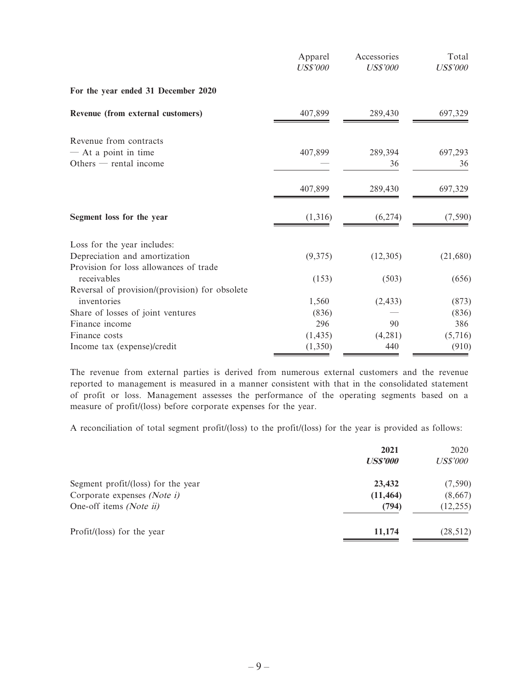|                                                    | Apparel<br><b>US\$'000</b> | Accessories<br><b>US\$'000</b> | Total<br><b>US\$'000</b> |
|----------------------------------------------------|----------------------------|--------------------------------|--------------------------|
| For the year ended 31 December 2020                |                            |                                |                          |
| Revenue (from external customers)                  | 407,899                    | 289,430                        | 697,329                  |
| Revenue from contracts                             |                            |                                |                          |
| $-$ At a point in time<br>Others $-$ rental income | 407,899                    | 289,394<br>36                  | 697,293<br>36            |
|                                                    | 407,899                    | 289,430                        | 697,329                  |
| Segment loss for the year                          | (1,316)                    | (6,274)                        | (7, 590)                 |
| Loss for the year includes:                        |                            |                                |                          |
| Depreciation and amortization                      | (9,375)                    | (12,305)                       | (21,680)                 |
| Provision for loss allowances of trade             |                            |                                |                          |
| receivables                                        | (153)                      | (503)                          | (656)                    |
| Reversal of provision/(provision) for obsolete     |                            |                                |                          |
| inventories                                        | 1,560                      | (2, 433)                       | (873)                    |
| Share of losses of joint ventures                  | (836)                      |                                | (836)                    |
| Finance income                                     | 296                        | 90                             | 386                      |
| Finance costs                                      | (1, 435)                   | (4,281)                        | (5,716)                  |
| Income tax (expense)/credit                        | (1,350)                    | 440                            | (910)                    |

The revenue from external parties is derived from numerous external customers and the revenue reported to management is measured in a manner consistent with that in the consolidated statement of profit or loss. Management assesses the performance of the operating segments based on a measure of profit/(loss) before corporate expenses for the year.

A reconciliation of total segment profit/(loss) to the profit/(loss) for the year is provided as follows:

|                                    | 2021<br><b>US\$'000</b> | 2020<br><i>US\$'000</i> |
|------------------------------------|-------------------------|-------------------------|
| Segment profit/(loss) for the year | 23,432                  | (7,590)                 |
| Corporate expenses (Note i)        | (11, 464)               | (8,667)                 |
| One-off items (Note ii)            | (794)                   | (12, 255)               |
| Profit/(loss) for the year         | 11,174                  | (28, 512)               |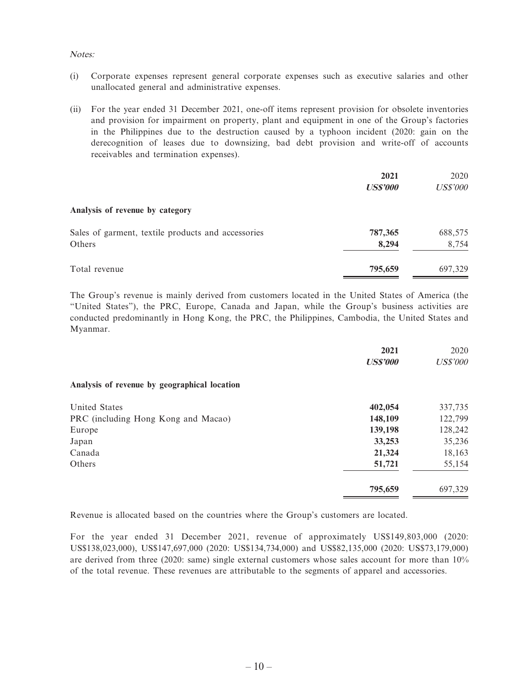#### Notes:

- (i) Corporate expenses represent general corporate expenses such as executive salaries and other unallocated general and administrative expenses.
- (ii) For the year ended 31 December 2021, one-off items represent provision for obsolete inventories and provision for impairment on property, plant and equipment in one of the Group's factories in the Philippines due to the destruction caused by a typhoon incident (2020: gain on the derecognition of leases due to downsizing, bad debt provision and write-off of accounts receivables and termination expenses).

|                                                    | 2021            | 2020            |
|----------------------------------------------------|-----------------|-----------------|
|                                                    | <b>US\$'000</b> | <b>US\$'000</b> |
| Analysis of revenue by category                    |                 |                 |
| Sales of garment, textile products and accessories | 787,365         | 688,575         |
| Others                                             | 8,294           | 8,754           |
| Total revenue                                      | 795,659         | 697,329         |

The Group's revenue is mainly derived from customers located in the United States of America (the "United States"), the PRC, Europe, Canada and Japan, while the Group's business activities are conducted predominantly in Hong Kong, the PRC, the Philippines, Cambodia, the United States and Myanmar.

|                                              | 2021<br><b>US\$'000</b> | 2020<br><b>US\$'000</b> |
|----------------------------------------------|-------------------------|-------------------------|
| Analysis of revenue by geographical location |                         |                         |
| United States                                | 402,054                 | 337,735                 |
| PRC (including Hong Kong and Macao)          | 148,109                 | 122,799                 |
| Europe                                       | 139,198                 | 128,242                 |
| Japan                                        | 33,253                  | 35,236                  |
| Canada                                       | 21,324                  | 18,163                  |
| Others                                       | 51,721                  | 55,154                  |
|                                              | 795,659                 | 697,329                 |

Revenue is allocated based on the countries where the Group's customers are located.

For the year ended 31 December 2021, revenue of approximately US\$149,803,000 (2020: US\$138,023,000), US\$147,697,000 (2020: US\$134,734,000) and US\$82,135,000 (2020: US\$73,179,000) are derived from three (2020: same) single external customers whose sales account for more than 10% of the total revenue. These revenues are attributable to the segments of apparel and accessories.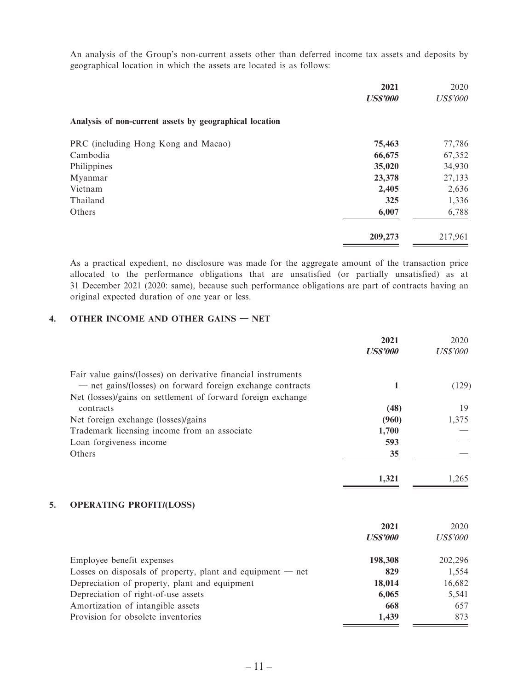An analysis of the Group's non-current assets other than deferred income tax assets and deposits by geographical location in which the assets are located is as follows:

|                                                         | 2021<br><b>US\$'000</b> | 2020<br><b>US\$'000</b> |
|---------------------------------------------------------|-------------------------|-------------------------|
| Analysis of non-current assets by geographical location |                         |                         |
| PRC (including Hong Kong and Macao)                     | 75,463                  | 77,786                  |
| Cambodia                                                | 66,675                  | 67,352                  |
| Philippines                                             | 35,020                  | 34,930                  |
| Myanmar                                                 | 23,378                  | 27,133                  |
| Vietnam                                                 | 2,405                   | 2,636                   |
| Thailand                                                | 325                     | 1,336                   |
| Others                                                  | 6,007                   | 6,788                   |
|                                                         | 209,273                 | 217,961                 |

As a practical expedient, no disclosure was made for the aggregate amount of the transaction price allocated to the performance obligations that are unsatisfied (or partially unsatisfied) as at 31 December 2021 (2020: same), because such performance obligations are part of contracts having an original expected duration of one year or less.

#### **4. OTHER INCOME AND OTHER GAINS — NET**

|                                                               | 2021            | 2020            |
|---------------------------------------------------------------|-----------------|-----------------|
|                                                               | <b>US\$'000</b> | <b>US\$'000</b> |
| Fair value gains/(losses) on derivative financial instruments |                 |                 |
| - net gains/(losses) on forward foreign exchange contracts    | 1               | (129)           |
| Net (losses)/gains on settlement of forward foreign exchange  |                 |                 |
| contracts                                                     | (48)            | 19              |
| Net foreign exchange (losses)/gains                           | (960)           | 1,375           |
| Trademark licensing income from an associate                  | 1,700           |                 |
| Loan forgiveness income                                       | 593             |                 |
| Others                                                        | 35              |                 |
|                                                               | 1,321           | 1,265           |
| 5.<br><b>OPERATING PROFIT/(LOSS)</b>                          |                 |                 |
|                                                               | 2021            | 2020            |
|                                                               | <b>US\$'000</b> | <b>US\$'000</b> |
| Employee benefit expenses                                     | 198,308         | 202,296         |
| Losses on disposals of property, plant and equipment $-$ net  | 829             | 1,554           |
| Depreciation of property, plant and equipment                 | 18,014          | 16,682          |
| Depreciation of right-of-use assets                           | 6,065           | 5,541           |
| Amortization of intangible assets                             | 668             | 657             |
| Provision for obsolete inventories                            | 1,439           | 873             |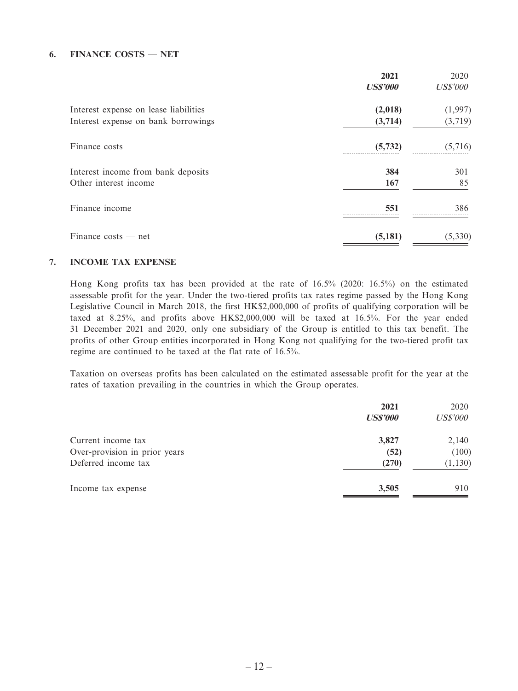#### **6. FINANCE COSTS — NET**

|                                       | 2021<br><b>US\$'000</b> | 2020<br><b>US\$'000</b> |
|---------------------------------------|-------------------------|-------------------------|
| Interest expense on lease liabilities | (2,018)                 | (1,997)                 |
| Interest expense on bank borrowings   | (3,714)                 | (3,719)                 |
| Finance costs                         | (5, 732)                | (5,716)                 |
| Interest income from bank deposits    | 384                     | 301                     |
| Other interest income                 | 167                     | 85                      |
| Finance income                        | 551                     | 386                     |
| Finance costs $-$ net                 | (5,181)                 | (5, 330)                |

#### **7. INCOME TAX EXPENSE**

Hong Kong profits tax has been provided at the rate of 16.5% (2020: 16.5%) on the estimated assessable profit for the year. Under the two-tiered profits tax rates regime passed by the Hong Kong Legislative Council in March 2018, the first HK\$2,000,000 of profits of qualifying corporation will be taxed at 8.25%, and profits above HK\$2,000,000 will be taxed at 16.5%. For the year ended 31 December 2021 and 2020, only one subsidiary of the Group is entitled to this tax benefit. The profits of other Group entities incorporated in Hong Kong not qualifying for the two-tiered profit tax regime are continued to be taxed at the flat rate of 16.5%.

Taxation on overseas profits has been calculated on the estimated assessable profit for the year at the rates of taxation prevailing in the countries in which the Group operates.

|                               | 2021<br><b>US\$'000</b> | 2020<br><b>US\$'000</b> |
|-------------------------------|-------------------------|-------------------------|
| Current income tax            | 3,827                   | 2,140                   |
| Over-provision in prior years | (52)                    | (100)                   |
| Deferred income tax           | (270)                   | (1, 130)                |
| Income tax expense            | 3,505                   | 910                     |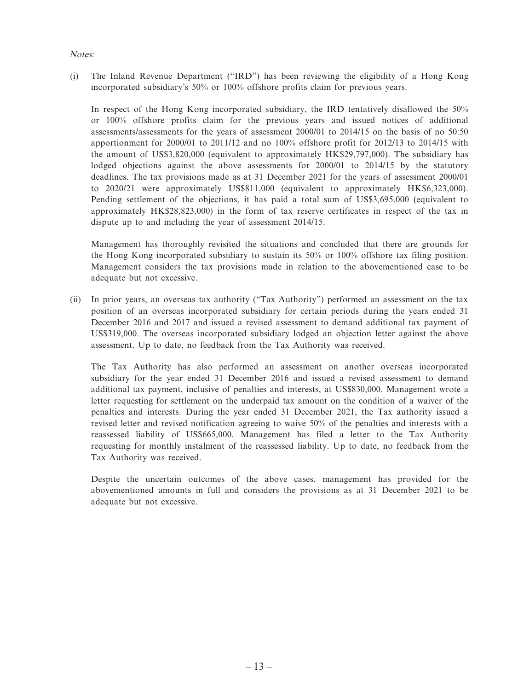#### Notes:

(i) The Inland Revenue Department ("IRD") has been reviewing the eligibility of a Hong Kong incorporated subsidiary's 50% or 100% offshore profits claim for previous years.

In respect of the Hong Kong incorporated subsidiary, the IRD tentatively disallowed the 50% or 100% offshore profits claim for the previous years and issued notices of additional assessments/assessments for the years of assessment 2000/01 to 2014/15 on the basis of no 50:50 apportionment for 2000/01 to 2011/12 and no 100% offshore profit for 2012/13 to 2014/15 with the amount of US\$3,820,000 (equivalent to approximately HK\$29,797,000). The subsidiary has lodged objections against the above assessments for 2000/01 to 2014/15 by the statutory deadlines. The tax provisions made as at 31 December 2021 for the years of assessment 2000/01 to 2020/21 were approximately US\$811,000 (equivalent to approximately HK\$6,323,000). Pending settlement of the objections, it has paid a total sum of US\$3,695,000 (equivalent to approximately HK\$28,823,000) in the form of tax reserve certificates in respect of the tax in dispute up to and including the year of assessment 2014/15.

Management has thoroughly revisited the situations and concluded that there are grounds for the Hong Kong incorporated subsidiary to sustain its 50% or 100% offshore tax filing position. Management considers the tax provisions made in relation to the abovementioned case to be adequate but not excessive.

(ii) In prior years, an overseas tax authority ("Tax Authority") performed an assessment on the tax position of an overseas incorporated subsidiary for certain periods during the years ended 31 December 2016 and 2017 and issued a revised assessment to demand additional tax payment of US\$319,000. The overseas incorporated subsidiary lodged an objection letter against the above assessment. Up to date, no feedback from the Tax Authority was received.

The Tax Authority has also performed an assessment on another overseas incorporated subsidiary for the year ended 31 December 2016 and issued a revised assessment to demand additional tax payment, inclusive of penalties and interests, at US\$830,000. Management wrote a letter requesting for settlement on the underpaid tax amount on the condition of a waiver of the penalties and interests. During the year ended 31 December 2021, the Tax authority issued a revised letter and revised notification agreeing to waive 50% of the penalties and interests with a reassessed liability of US\$665,000. Management has filed a letter to the Tax Authority requesting for monthly instalment of the reassessed liability. Up to date, no feedback from the Tax Authority was received.

Despite the uncertain outcomes of the above cases, management has provided for the abovementioned amounts in full and considers the provisions as at 31 December 2021 to be adequate but not excessive.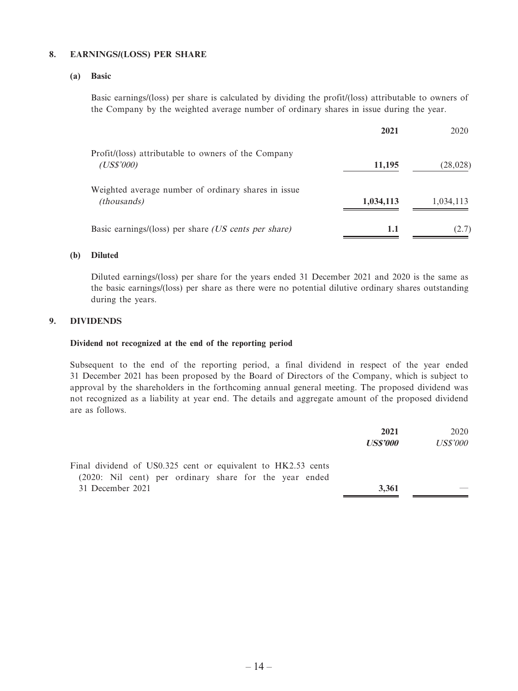#### **8. EARNINGS/(LOSS) PER SHARE**

#### **(a) Basic**

Basic earnings/(loss) per share is calculated by dividing the profit/(loss) attributable to owners of the Company by the weighted average number of ordinary shares in issue during the year.

|                                                                           | 2021      | 2020      |
|---------------------------------------------------------------------------|-----------|-----------|
| Profit/(loss) attributable to owners of the Company<br>(US\$'000)         | 11,195    | (28, 028) |
| Weighted average number of ordinary shares in issue<br><i>(thousands)</i> | 1,034,113 | 1,034,113 |
| Basic earnings/(loss) per share <i>(US cents per share)</i>               | 1.1       | (2.7)     |

#### **(b) Diluted**

Diluted earnings/(loss) per share for the years ended 31 December 2021 and 2020 is the same as the basic earnings/(loss) per share as there were no potential dilutive ordinary shares outstanding during the years.

#### **9. DIVIDENDS**

#### **Dividend not recognized at the end of the reporting period**

Subsequent to the end of the reporting period, a final dividend in respect of the year ended 31 December 2021 has been proposed by the Board of Directors of the Company, which is subject to approval by the shareholders in the forthcoming annual general meeting. The proposed dividend was not recognized as a liability at year end. The details and aggregate amount of the proposed dividend are as follows.

|                                                                                                                        | 2021<br><b>US\$'000</b> | 2020<br><i>US\$'000</i> |
|------------------------------------------------------------------------------------------------------------------------|-------------------------|-------------------------|
| Final dividend of US0.325 cent or equivalent to HK2.53 cents<br>(2020: Nil cent) per ordinary share for the year ended |                         |                         |
| 31 December 2021                                                                                                       | 3,361                   |                         |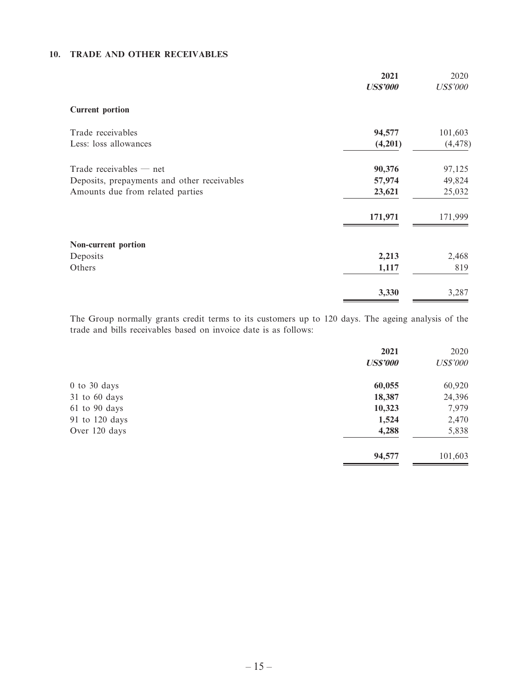#### **10. TRADE AND OTHER RECEIVABLES**

|                                             | 2021<br><b>US\$'000</b> | 2020<br><b>US\$'000</b> |
|---------------------------------------------|-------------------------|-------------------------|
| <b>Current portion</b>                      |                         |                         |
| Trade receivables                           | 94,577                  | 101,603                 |
| Less: loss allowances                       | (4,201)                 | (4, 478)                |
| Trade receivables $-$ net                   | 90,376                  | 97,125                  |
| Deposits, prepayments and other receivables | 57,974                  | 49,824                  |
| Amounts due from related parties            | 23,621                  | 25,032                  |
|                                             | 171,971                 | 171,999                 |
| Non-current portion                         |                         |                         |
| Deposits                                    | 2,213                   | 2,468                   |
| Others                                      | 1,117                   | 819                     |
|                                             | 3,330                   | 3,287                   |

The Group normally grants credit terms to its customers up to 120 days. The ageing analysis of the trade and bills receivables based on invoice date is as follows:

|                  | 2021            | 2020            |
|------------------|-----------------|-----------------|
|                  | <b>US\$'000</b> | <b>US\$'000</b> |
| $0$ to $30$ days | 60,055          | 60,920          |
| 31 to 60 days    | 18,387          | 24,396          |
| 61 to 90 days    | 10,323          | 7,979           |
| 91 to 120 days   | 1,524           | 2,470           |
| Over 120 days    | 4,288           | 5,838           |
|                  | 94,577          | 101,603         |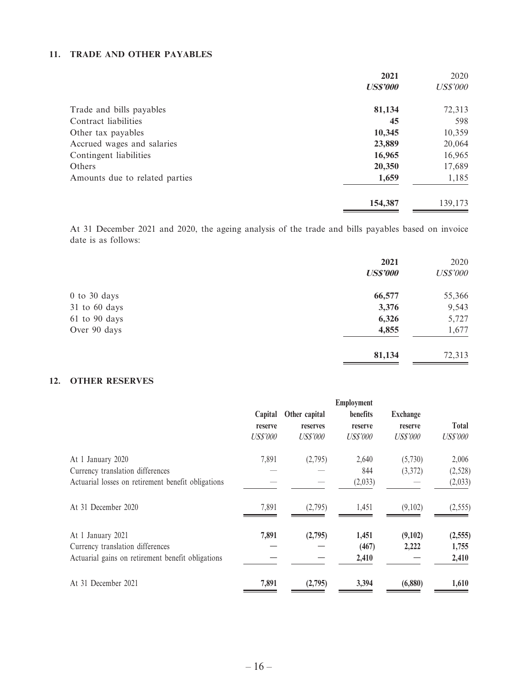#### **11. TRADE AND OTHER PAYABLES**

|                                | 2021<br><b>US\$'000</b> | 2020<br><b>US\$'000</b> |
|--------------------------------|-------------------------|-------------------------|
|                                |                         |                         |
| Trade and bills payables       | 81,134                  | 72,313                  |
| Contract liabilities           | 45                      | 598                     |
| Other tax payables             | 10,345                  | 10,359                  |
| Accrued wages and salaries     | 23,889                  | 20,064                  |
| Contingent liabilities         | 16,965                  | 16,965                  |
| Others                         | 20,350                  | 17,689                  |
| Amounts due to related parties | 1,659                   | 1,185                   |
|                                | 154,387                 | 139,173                 |

At 31 December 2021 and 2020, the ageing analysis of the trade and bills payables based on invoice date is as follows:

| 2021<br><b>US\$'000</b> | 2020<br><b>US\$'000</b> |
|-------------------------|-------------------------|
| 66,577                  | 55,366                  |
| 3,376                   | 9,543                   |
| 6,326                   | 5,727                   |
| 4,855                   | 1,677                   |
| 81,134                  | 72,313                  |
|                         |                         |

#### **12. OTHER RESERVES**

|                                                    |                 |                 | <b>Employment</b> |                 |                 |
|----------------------------------------------------|-----------------|-----------------|-------------------|-----------------|-----------------|
|                                                    | Capital         | Other capital   | <b>benefits</b>   | <b>Exchange</b> |                 |
|                                                    | reserve         | reserves        | reserve           | reserve         | <b>Total</b>    |
|                                                    | <b>US\$'000</b> | <b>US\$'000</b> | <i>US\$'000</i>   | <b>US\$'000</b> | <b>US\$'000</b> |
| At 1 January 2020                                  | 7,891           | (2,795)         | 2,640             | (5,730)         | 2,006           |
| Currency translation differences                   |                 |                 | 844               | (3,372)         | (2,528)         |
| Actuarial losses on retirement benefit obligations |                 |                 | (2,033)           |                 | (2,033)         |
| At 31 December 2020                                | 7,891           | (2,795)         | 1,451             | (9,102)         | (2, 555)        |
| At 1 January 2021                                  | 7,891           | (2,795)         | 1,451             | (9,102)         | (2, 555)        |
| Currency translation differences                   |                 |                 | (467)             | 2,222           | 1,755           |
| Actuarial gains on retirement benefit obligations  |                 |                 | 2,410             |                 | 2,410           |
| At 31 December 2021                                | 7,891           | (2,795)         | 3,394             | (6,880)         | 1,610           |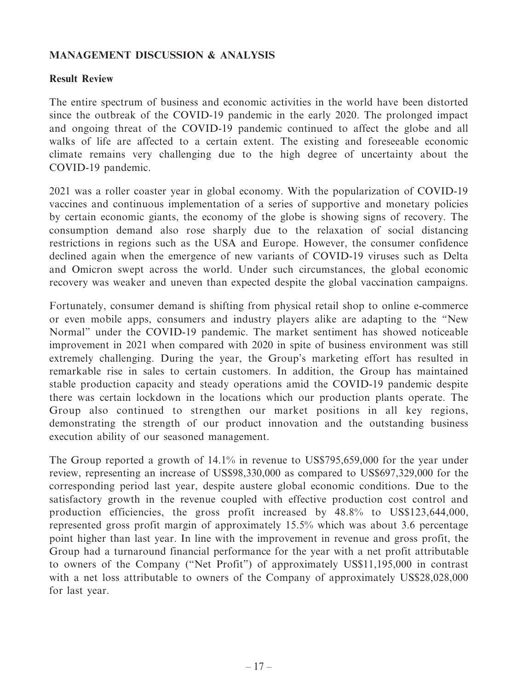# **MANAGEMENT DISCUSSION & ANALYSIS**

### **Result Review**

The entire spectrum of business and economic activities in the world have been distorted since the outbreak of the COVID-19 pandemic in the early 2020. The prolonged impact and ongoing threat of the COVID-19 pandemic continued to affect the globe and all walks of life are affected to a certain extent. The existing and foreseeable economic climate remains very challenging due to the high degree of uncertainty about the COVID-19 pandemic.

2021 was a roller coaster year in global economy. With the popularization of COVID-19 vaccines and continuous implementation of a series of supportive and monetary policies by certain economic giants, the economy of the globe is showing signs of recovery. The consumption demand also rose sharply due to the relaxation of social distancing restrictions in regions such as the USA and Europe. However, the consumer confidence declined again when the emergence of new variants of COVID-19 viruses such as Delta and Omicron swept across the world. Under such circumstances, the global economic recovery was weaker and uneven than expected despite the global vaccination campaigns.

Fortunately, consumer demand is shifting from physical retail shop to online e-commerce or even mobile apps, consumers and industry players alike are adapting to the "New Normal" under the COVID-19 pandemic. The market sentiment has showed noticeable improvement in 2021 when compared with 2020 in spite of business environment was still extremely challenging. During the year, the Group's marketing effort has resulted in remarkable rise in sales to certain customers. In addition, the Group has maintained stable production capacity and steady operations amid the COVID-19 pandemic despite there was certain lockdown in the locations which our production plants operate. The Group also continued to strengthen our market positions in all key regions, demonstrating the strength of our product innovation and the outstanding business execution ability of our seasoned management.

The Group reported a growth of 14.1% in revenue to US\$795,659,000 for the year under review, representing an increase of US\$98,330,000 as compared to US\$697,329,000 for the corresponding period last year, despite austere global economic conditions. Due to the satisfactory growth in the revenue coupled with effective production cost control and production efficiencies, the gross profit increased by 48.8% to US\$123,644,000, represented gross profit margin of approximately 15.5% which was about 3.6 percentage point higher than last year. In line with the improvement in revenue and gross profit, the Group had a turnaround financial performance for the year with a net profit attributable to owners of the Company ("Net Profit") of approximately US\$11,195,000 in contrast with a net loss attributable to owners of the Company of approximately US\$28,028,000 for last year.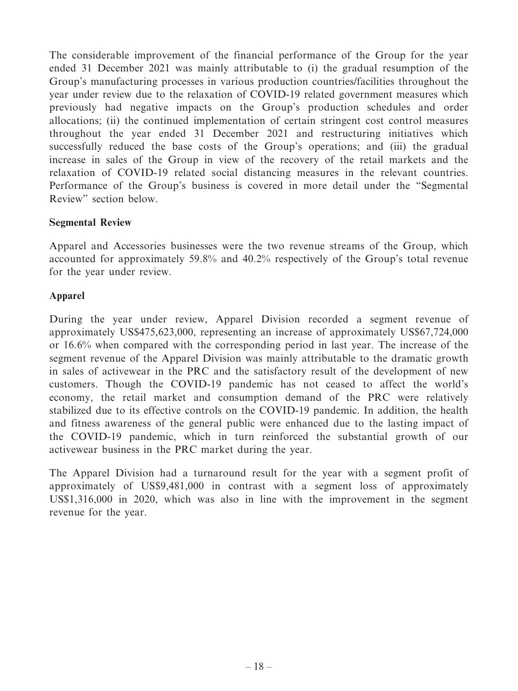The considerable improvement of the financial performance of the Group for the year ended 31 December 2021 was mainly attributable to (i) the gradual resumption of the Group's manufacturing processes in various production countries/facilities throughout the year under review due to the relaxation of COVID-19 related government measures which previously had negative impacts on the Group's production schedules and order allocations; (ii) the continued implementation of certain stringent cost control measures throughout the year ended 31 December 2021 and restructuring initiatives which successfully reduced the base costs of the Group's operations; and (iii) the gradual increase in sales of the Group in view of the recovery of the retail markets and the relaxation of COVID-19 related social distancing measures in the relevant countries. Performance of the Group's business is covered in more detail under the "Segmental Review" section below.

### **Segmental Review**

Apparel and Accessories businesses were the two revenue streams of the Group, which accounted for approximately 59.8% and 40.2% respectively of the Group's total revenue for the year under review.

### **Apparel**

During the year under review, Apparel Division recorded a segment revenue of approximately US\$475,623,000, representing an increase of approximately US\$67,724,000 or 16.6% when compared with the corresponding period in last year. The increase of the segment revenue of the Apparel Division was mainly attributable to the dramatic growth in sales of activewear in the PRC and the satisfactory result of the development of new customers. Though the COVID-19 pandemic has not ceased to affect the world's economy, the retail market and consumption demand of the PRC were relatively stabilized due to its effective controls on the COVID-19 pandemic. In addition, the health and fitness awareness of the general public were enhanced due to the lasting impact of the COVID-19 pandemic, which in turn reinforced the substantial growth of our activewear business in the PRC market during the year.

The Apparel Division had a turnaround result for the year with a segment profit of approximately of US\$9,481,000 in contrast with a segment loss of approximately US\$1,316,000 in 2020, which was also in line with the improvement in the segment revenue for the year.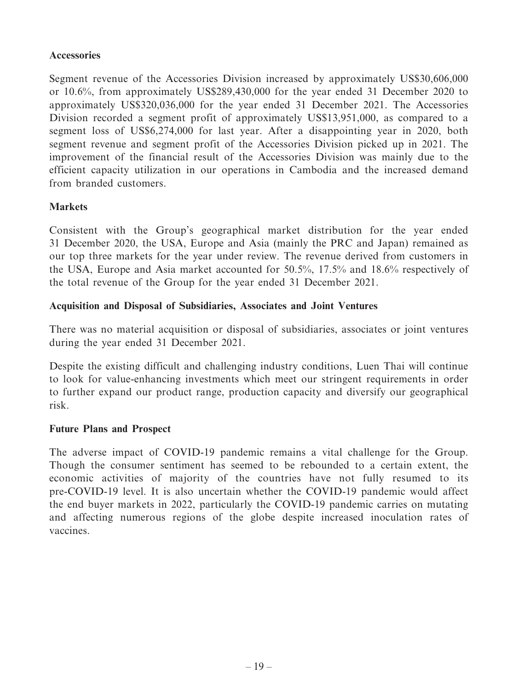### **Accessories**

Segment revenue of the Accessories Division increased by approximately US\$30,606,000 or 10.6%, from approximately US\$289,430,000 for the year ended 31 December 2020 to approximately US\$320,036,000 for the year ended 31 December 2021. The Accessories Division recorded a segment profit of approximately US\$13,951,000, as compared to a segment loss of US\$6,274,000 for last year. After a disappointing year in 2020, both segment revenue and segment profit of the Accessories Division picked up in 2021. The improvement of the financial result of the Accessories Division was mainly due to the efficient capacity utilization in our operations in Cambodia and the increased demand from branded customers.

### **Markets**

Consistent with the Group's geographical market distribution for the year ended 31 December 2020, the USA, Europe and Asia (mainly the PRC and Japan) remained as our top three markets for the year under review. The revenue derived from customers in the USA, Europe and Asia market accounted for 50.5%, 17.5% and 18.6% respectively of the total revenue of the Group for the year ended 31 December 2021.

### **Acquisition and Disposal of Subsidiaries, Associates and Joint Ventures**

There was no material acquisition or disposal of subsidiaries, associates or joint ventures during the year ended 31 December 2021.

Despite the existing difficult and challenging industry conditions, Luen Thai will continue to look for value-enhancing investments which meet our stringent requirements in order to further expand our product range, production capacity and diversify our geographical risk.

### **Future Plans and Prospect**

The adverse impact of COVID-19 pandemic remains a vital challenge for the Group. Though the consumer sentiment has seemed to be rebounded to a certain extent, the economic activities of majority of the countries have not fully resumed to its pre-COVID-19 level. It is also uncertain whether the COVID-19 pandemic would affect the end buyer markets in 2022, particularly the COVID-19 pandemic carries on mutating and affecting numerous regions of the globe despite increased inoculation rates of vaccines.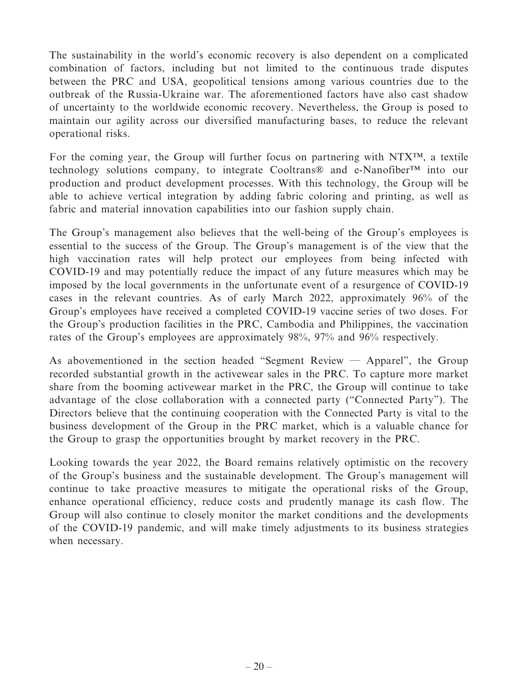The sustainability in the world's economic recovery is also dependent on a complicated combination of factors, including but not limited to the continuous trade disputes between the PRC and USA, geopolitical tensions among various countries due to the outbreak of the Russia-Ukraine war. The aforementioned factors have also cast shadow of uncertainty to the worldwide economic recovery. Nevertheless, the Group is posed to maintain our agility across our diversified manufacturing bases, to reduce the relevant operational risks.

For the coming year, the Group will further focus on partnering with NTX™, a textile technology solutions company, to integrate Cooltrans® and e-Nanofiber™ into our production and product development processes. With this technology, the Group will be able to achieve vertical integration by adding fabric coloring and printing, as well as fabric and material innovation capabilities into our fashion supply chain.

The Group's management also believes that the well-being of the Group's employees is essential to the success of the Group. The Group's management is of the view that the high vaccination rates will help protect our employees from being infected with COVID-19 and may potentially reduce the impact of any future measures which may be imposed by the local governments in the unfortunate event of a resurgence of COVID-19 cases in the relevant countries. As of early March 2022, approximately 96% of the Group's employees have received a completed COVID-19 vaccine series of two doses. For the Group's production facilities in the PRC, Cambodia and Philippines, the vaccination rates of the Group's employees are approximately 98%, 97% and 96% respectively.

As abovementioned in the section headed "Segment Review — Apparel", the Group recorded substantial growth in the activewear sales in the PRC. To capture more market share from the booming activewear market in the PRC, the Group will continue to take advantage of the close collaboration with a connected party ("Connected Party"). The Directors believe that the continuing cooperation with the Connected Party is vital to the business development of the Group in the PRC market, which is a valuable chance for the Group to grasp the opportunities brought by market recovery in the PRC.

Looking towards the year 2022, the Board remains relatively optimistic on the recovery of the Group's business and the sustainable development. The Group's management will continue to take proactive measures to mitigate the operational risks of the Group, enhance operational efficiency, reduce costs and prudently manage its cash flow. The Group will also continue to closely monitor the market conditions and the developments of the COVID-19 pandemic, and will make timely adjustments to its business strategies when necessary.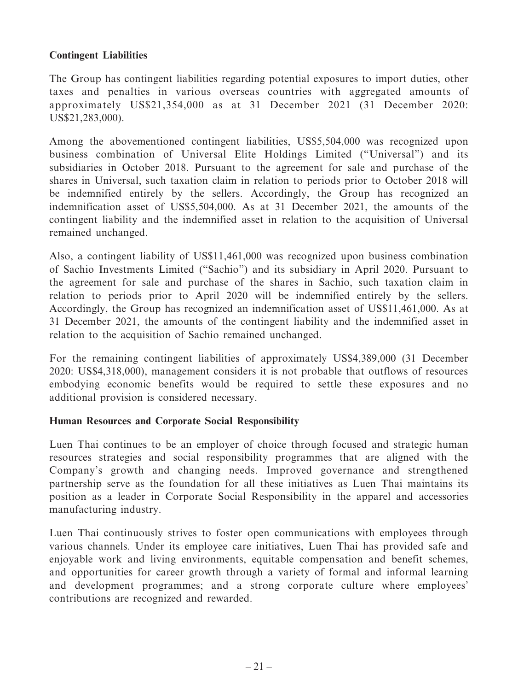# **Contingent Liabilities**

The Group has contingent liabilities regarding potential exposures to import duties, other taxes and penalties in various overseas countries with aggregated amounts of approximately US\$21,354,000 as at 31 December 2021 (31 December 2020: US\$21,283,000).

Among the abovementioned contingent liabilities, US\$5,504,000 was recognized upon business combination of Universal Elite Holdings Limited ("Universal") and its subsidiaries in October 2018. Pursuant to the agreement for sale and purchase of the shares in Universal, such taxation claim in relation to periods prior to October 2018 will be indemnified entirely by the sellers. Accordingly, the Group has recognized an indemnification asset of US\$5,504,000. As at 31 December 2021, the amounts of the contingent liability and the indemnified asset in relation to the acquisition of Universal remained unchanged.

Also, a contingent liability of US\$11,461,000 was recognized upon business combination of Sachio Investments Limited ("Sachio") and its subsidiary in April 2020. Pursuant to the agreement for sale and purchase of the shares in Sachio, such taxation claim in relation to periods prior to April 2020 will be indemnified entirely by the sellers. Accordingly, the Group has recognized an indemnification asset of US\$11,461,000. As at 31 December 2021, the amounts of the contingent liability and the indemnified asset in relation to the acquisition of Sachio remained unchanged.

For the remaining contingent liabilities of approximately US\$4,389,000 (31 December 2020: US\$4,318,000), management considers it is not probable that outflows of resources embodying economic benefits would be required to settle these exposures and no additional provision is considered necessary.

### **Human Resources and Corporate Social Responsibility**

Luen Thai continues to be an employer of choice through focused and strategic human resources strategies and social responsibility programmes that are aligned with the Company's growth and changing needs. Improved governance and strengthened partnership serve as the foundation for all these initiatives as Luen Thai maintains its position as a leader in Corporate Social Responsibility in the apparel and accessories manufacturing industry.

Luen Thai continuously strives to foster open communications with employees through various channels. Under its employee care initiatives, Luen Thai has provided safe and enjoyable work and living environments, equitable compensation and benefit schemes, and opportunities for career growth through a variety of formal and informal learning and development programmes; and a strong corporate culture where employees' contributions are recognized and rewarded.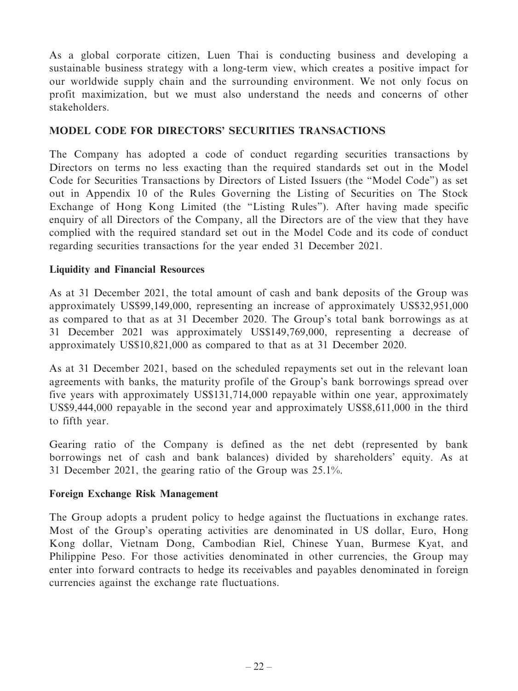As a global corporate citizen, Luen Thai is conducting business and developing a sustainable business strategy with a long-term view, which creates a positive impact for our worldwide supply chain and the surrounding environment. We not only focus on profit maximization, but we must also understand the needs and concerns of other stakeholders.

## **MODEL CODE FOR DIRECTORS' SECURITIES TRANSACTIONS**

The Company has adopted a code of conduct regarding securities transactions by Directors on terms no less exacting than the required standards set out in the Model Code for Securities Transactions by Directors of Listed Issuers (the "Model Code") as set out in Appendix 10 of the Rules Governing the Listing of Securities on The Stock Exchange of Hong Kong Limited (the "Listing Rules"). After having made specific enquiry of all Directors of the Company, all the Directors are of the view that they have complied with the required standard set out in the Model Code and its code of conduct regarding securities transactions for the year ended 31 December 2021.

# **Liquidity and Financial Resources**

As at 31 December 2021, the total amount of cash and bank deposits of the Group was approximately US\$99,149,000, representing an increase of approximately US\$32,951,000 as compared to that as at 31 December 2020. The Group's total bank borrowings as at 31 December 2021 was approximately US\$149,769,000, representing a decrease of approximately US\$10,821,000 as compared to that as at 31 December 2020.

As at 31 December 2021, based on the scheduled repayments set out in the relevant loan agreements with banks, the maturity profile of the Group's bank borrowings spread over five years with approximately US\$131,714,000 repayable within one year, approximately US\$9,444,000 repayable in the second year and approximately US\$8,611,000 in the third to fifth year.

Gearing ratio of the Company is defined as the net debt (represented by bank borrowings net of cash and bank balances) divided by shareholders' equity. As at 31 December 2021, the gearing ratio of the Group was 25.1%.

### **Foreign Exchange Risk Management**

The Group adopts a prudent policy to hedge against the fluctuations in exchange rates. Most of the Group's operating activities are denominated in US dollar, Euro, Hong Kong dollar, Vietnam Dong, Cambodian Riel, Chinese Yuan, Burmese Kyat, and Philippine Peso. For those activities denominated in other currencies, the Group may enter into forward contracts to hedge its receivables and payables denominated in foreign currencies against the exchange rate fluctuations.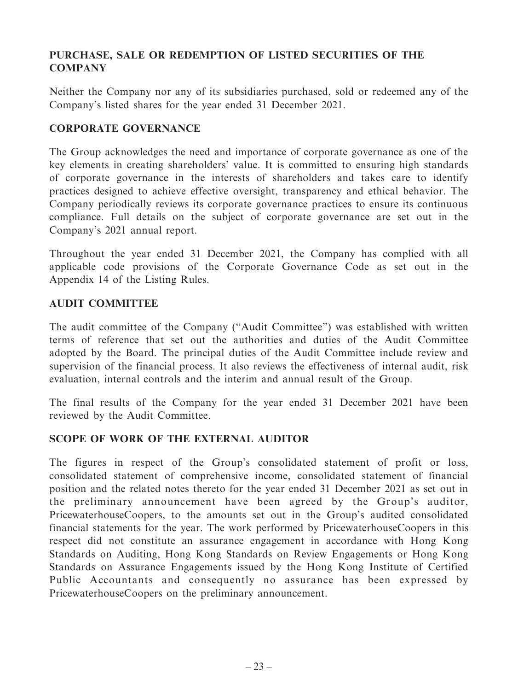# **PURCHASE, SALE OR REDEMPTION OF LISTED SECURITIES OF THE COMPANY**

Neither the Company nor any of its subsidiaries purchased, sold or redeemed any of the Company's listed shares for the year ended 31 December 2021.

## **CORPORATE GOVERNANCE**

The Group acknowledges the need and importance of corporate governance as one of the key elements in creating shareholders' value. It is committed to ensuring high standards of corporate governance in the interests of shareholders and takes care to identify practices designed to achieve effective oversight, transparency and ethical behavior. The Company periodically reviews its corporate governance practices to ensure its continuous compliance. Full details on the subject of corporate governance are set out in the Company's 2021 annual report.

Throughout the year ended 31 December 2021, the Company has complied with all applicable code provisions of the Corporate Governance Code as set out in the Appendix 14 of the Listing Rules.

### **AUDIT COMMITTEE**

The audit committee of the Company ("Audit Committee") was established with written terms of reference that set out the authorities and duties of the Audit Committee adopted by the Board. The principal duties of the Audit Committee include review and supervision of the financial process. It also reviews the effectiveness of internal audit, risk evaluation, internal controls and the interim and annual result of the Group.

The final results of the Company for the year ended 31 December 2021 have been reviewed by the Audit Committee.

# **SCOPE OF WORK OF THE EXTERNAL AUDITOR**

The figures in respect of the Group's consolidated statement of profit or loss, consolidated statement of comprehensive income, consolidated statement of financial position and the related notes thereto for the year ended 31 December 2021 as set out in the preliminary announcement have been agreed by the Group's auditor, PricewaterhouseCoopers, to the amounts set out in the Group's audited consolidated financial statements for the year. The work performed by PricewaterhouseCoopers in this respect did not constitute an assurance engagement in accordance with Hong Kong Standards on Auditing, Hong Kong Standards on Review Engagements or Hong Kong Standards on Assurance Engagements issued by the Hong Kong Institute of Certified Public Accountants and consequently no assurance has been expressed by PricewaterhouseCoopers on the preliminary announcement.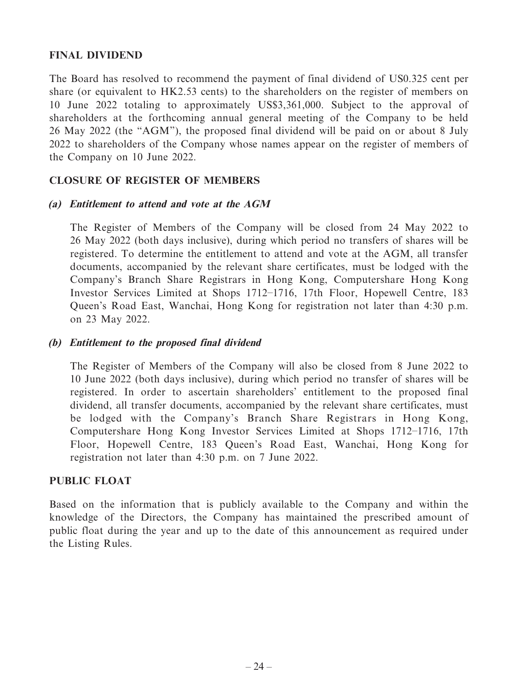### **FINAL DIVIDEND**

The Board has resolved to recommend the payment of final dividend of US0.325 cent per share (or equivalent to HK2.53 cents) to the shareholders on the register of members on 10 June 2022 totaling to approximately US\$3,361,000. Subject to the approval of shareholders at the forthcoming annual general meeting of the Company to be held 26 May 2022 (the "AGM"), the proposed final dividend will be paid on or about 8 July 2022 to shareholders of the Company whose names appear on the register of members of the Company on 10 June 2022.

# **CLOSURE OF REGISTER OF MEMBERS**

### **(a) Entitlement to attend and vote at the AGM**

The Register of Members of the Company will be closed from 24 May 2022 to 26 May 2022 (both days inclusive), during which period no transfers of shares will be registered. To determine the entitlement to attend and vote at the AGM, all transfer documents, accompanied by the relevant share certificates, must be lodged with the Company's Branch Share Registrars in Hong Kong, Computershare Hong Kong Investor Services Limited at Shops 1712–1716, 17th Floor, Hopewell Centre, 183 Queen's Road East, Wanchai, Hong Kong for registration not later than 4:30 p.m. on 23 May 2022.

#### **(b) Entitlement to the proposed final dividend**

The Register of Members of the Company will also be closed from 8 June 2022 to 10 June 2022 (both days inclusive), during which period no transfer of shares will be registered. In order to ascertain shareholders' entitlement to the proposed final dividend, all transfer documents, accompanied by the relevant share certificates, must be lodged with the Company's Branch Share Registrars in Hong Kong, Computershare Hong Kong Investor Services Limited at Shops 1712–1716, 17th Floor, Hopewell Centre, 183 Queen's Road East, Wanchai, Hong Kong for registration not later than 4:30 p.m. on 7 June 2022.

### **PUBLIC FLOAT**

Based on the information that is publicly available to the Company and within the knowledge of the Directors, the Company has maintained the prescribed amount of public float during the year and up to the date of this announcement as required under the Listing Rules.